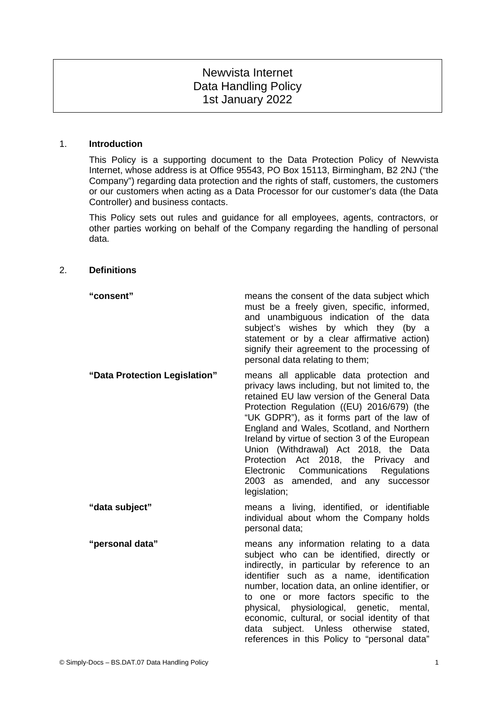# Newvista Internet Data Handling Policy 1st January 2022

#### 1. **Introduction**

This Policy is a supporting document to the Data Protection Policy of Newvista Internet, whose address is at Office 95543, PO Box 15113, Birmingham, B2 2NJ ("the Company") regarding data protection and the rights of staff, customers, the customers or our customers when acting as a Data Processor for our customer's data (the Data Controller) and business contacts.

This Policy sets out rules and guidance for all employees, agents, contractors, or other parties working on behalf of the Company regarding the handling of personal data.

#### 2. **Definitions**

| "consent"                     | means the consent of the data subject which<br>must be a freely given, specific, informed,<br>and unambiguous indication of the data<br>subject's wishes by which they (by a<br>statement or by a clear affirmative action)<br>signify their agreement to the processing of<br>personal data relating to them;                                                                                                                                                                                                        |
|-------------------------------|-----------------------------------------------------------------------------------------------------------------------------------------------------------------------------------------------------------------------------------------------------------------------------------------------------------------------------------------------------------------------------------------------------------------------------------------------------------------------------------------------------------------------|
| "Data Protection Legislation" | means all applicable data protection and<br>privacy laws including, but not limited to, the<br>retained EU law version of the General Data<br>Protection Regulation ((EU) 2016/679) (the<br>"UK GDPR"), as it forms part of the law of<br>England and Wales, Scotland, and Northern<br>Ireland by virtue of section 3 of the European<br>Union (Withdrawal) Act 2018, the Data<br>Protection Act 2018, the Privacy and<br>Electronic Communications Regulations<br>2003 as amended, and any successor<br>legislation; |
| "data subject"                | means a living, identified, or identifiable<br>individual about whom the Company holds<br>personal data;                                                                                                                                                                                                                                                                                                                                                                                                              |

**"personal data"** means any information relating to a data subject who can be identified, directly or indirectly, in particular by reference to an identifier such as a name, identification number, location data, an online identifier, or to one or more factors specific to the physical, physiological, genetic, mental, economic, cultural, or social identity of that data subject. Unless otherwise stated, references in this Policy to "personal data"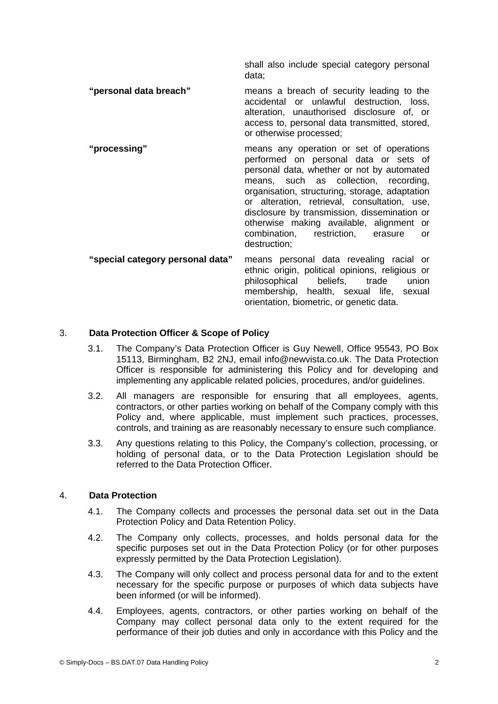shall also include special category personal data;

- **"personal data breach"** means a breach of security leading to the accidental or unlawful destruction, loss, alteration, unauthorised disclosure of, or access to, personal data transmitted, stored, or otherwise processed;
- **"processing"** means any operation or set of operations performed on personal data or sets of personal data, whether or not by automated means, such as collection, recording, organisation, structuring, storage, adaptation or alteration, retrieval, consultation, use, disclosure by transmission, dissemination or otherwise making available, alignment or combination, restriction, erasure or destruction;
- **"special category personal data"** means personal data revealing racial or ethnic origin, political opinions, religious or philosophical beliefs, trade union membership, health, sexual life, sexual orientation, biometric, or genetic data.

# 3. **Data Protection Officer & Scope of Policy**

- 3.1. The Company's Data Protection Officer is Guy Newell, Office 95543, PO Box 15113, Birmingham, B2 2NJ, email info@newvista.co.uk. The Data Protection Officer is responsible for administering this Policy and for developing and implementing any applicable related policies, procedures, and/or guidelines.
- 3.2. All managers are responsible for ensuring that all employees, agents, contractors, or other parties working on behalf of the Company comply with this Policy and, where applicable, must implement such practices, processes, controls, and training as are reasonably necessary to ensure such compliance.
- 3.3. Any questions relating to this Policy, the Company's collection, processing, or holding of personal data, or to the Data Protection Legislation should be referred to the Data Protection Officer.

# 4. **Data Protection**

- 4.1. The Company collects and processes the personal data set out in the Data Protection Policy and Data Retention Policy.
- 4.2. The Company only collects, processes, and holds personal data for the specific purposes set out in the Data Protection Policy (or for other purposes expressly permitted by the Data Protection Legislation).
- 4.3. The Company will only collect and process personal data for and to the extent necessary for the specific purpose or purposes of which data subjects have been informed (or will be informed).
- 4.4. Employees, agents, contractors, or other parties working on behalf of the Company may collect personal data only to the extent required for the performance of their job duties and only in accordance with this Policy and the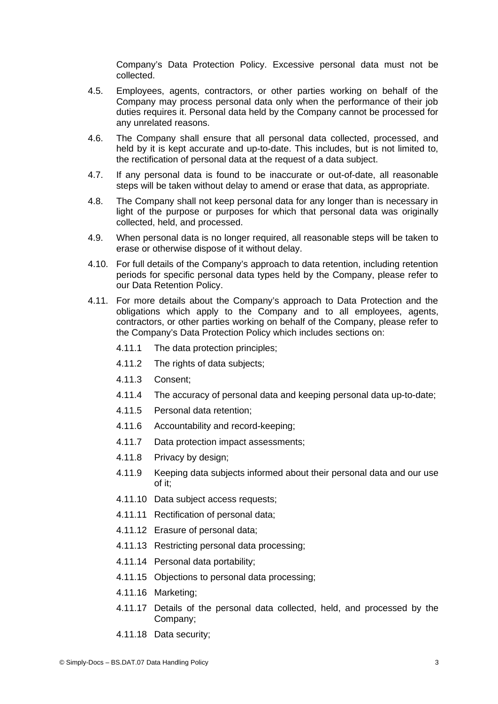Company's Data Protection Policy. Excessive personal data must not be collected.

- 4.5. Employees, agents, contractors, or other parties working on behalf of the Company may process personal data only when the performance of their job duties requires it. Personal data held by the Company cannot be processed for any unrelated reasons.
- 4.6. The Company shall ensure that all personal data collected, processed, and held by it is kept accurate and up-to-date. This includes, but is not limited to, the rectification of personal data at the request of a data subject.
- 4.7. If any personal data is found to be inaccurate or out-of-date, all reasonable steps will be taken without delay to amend or erase that data, as appropriate.
- 4.8. The Company shall not keep personal data for any longer than is necessary in light of the purpose or purposes for which that personal data was originally collected, held, and processed.
- 4.9. When personal data is no longer required, all reasonable steps will be taken to erase or otherwise dispose of it without delay.
- 4.10. For full details of the Company's approach to data retention, including retention periods for specific personal data types held by the Company, please refer to our Data Retention Policy.
- 4.11. For more details about the Company's approach to Data Protection and the obligations which apply to the Company and to all employees, agents, contractors, or other parties working on behalf of the Company, please refer to the Company's Data Protection Policy which includes sections on:
	- 4.11.1 The data protection principles;
	- 4.11.2 The rights of data subjects:
	- 4.11.3 Consent;
	- 4.11.4 The accuracy of personal data and keeping personal data up-to-date;
	- 4.11.5 Personal data retention;
	- 4.11.6 Accountability and record-keeping;
	- 4.11.7 Data protection impact assessments;
	- 4.11.8 Privacy by design;
	- 4.11.9 Keeping data subjects informed about their personal data and our use of it;
	- 4.11.10 Data subject access requests;
	- 4.11.11 Rectification of personal data;
	- 4.11.12 Erasure of personal data;
	- 4.11.13 Restricting personal data processing;
	- 4.11.14 Personal data portability;
	- 4.11.15 Objections to personal data processing;
	- 4.11.16 Marketing;
	- 4.11.17 Details of the personal data collected, held, and processed by the Company;
	- 4.11.18 Data security;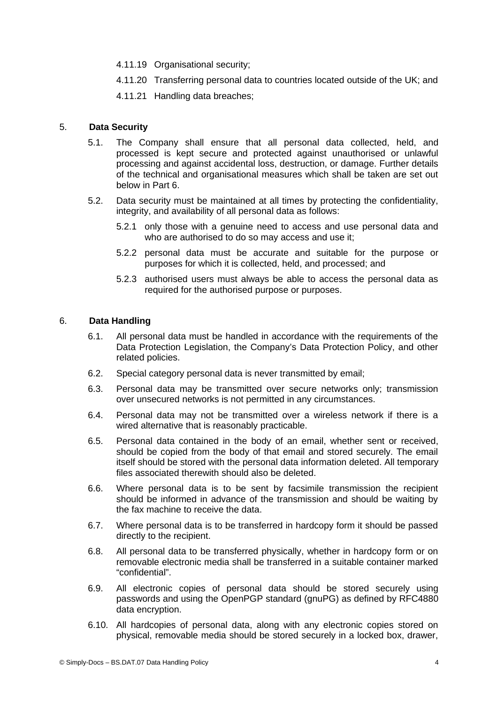- 4.11.19 Organisational security;
- 4.11.20 Transferring personal data to countries located outside of the UK; and
- 4.11.21 Handling data breaches;

# 5. **Data Security**

- 5.1. The Company shall ensure that all personal data collected, held, and processed is kept secure and protected against unauthorised or unlawful processing and against accidental loss, destruction, or damage. Further details of the technical and organisational measures which shall be taken are set out below in Part [6.](#page-3-0)
- 5.2. Data security must be maintained at all times by protecting the confidentiality, integrity, and availability of all personal data as follows:
	- 5.2.1 only those with a genuine need to access and use personal data and who are authorised to do so may access and use it;
	- 5.2.2 personal data must be accurate and suitable for the purpose or purposes for which it is collected, held, and processed; and
	- 5.2.3 authorised users must always be able to access the personal data as required for the authorised purpose or purposes.

## 6. **Data Handling**

- <span id="page-3-0"></span>6.1. All personal data must be handled in accordance with the requirements of the Data Protection Legislation, the Company's Data Protection Policy, and other related policies.
- 6.2. Special category personal data is never transmitted by email;
- 6.3. Personal data may be transmitted over secure networks only; transmission over unsecured networks is not permitted in any circumstances.
- 6.4. Personal data may not be transmitted over a wireless network if there is a wired alternative that is reasonably practicable.
- 6.5. Personal data contained in the body of an email, whether sent or received, should be copied from the body of that email and stored securely. The email itself should be stored with the personal data information deleted. All temporary files associated therewith should also be deleted.
- 6.6. Where personal data is to be sent by facsimile transmission the recipient should be informed in advance of the transmission and should be waiting by the fax machine to receive the data.
- 6.7. Where personal data is to be transferred in hardcopy form it should be passed directly to the recipient.
- 6.8. All personal data to be transferred physically, whether in hardcopy form or on removable electronic media shall be transferred in a suitable container marked "confidential".
- 6.9. All electronic copies of personal data should be stored securely using passwords and using the OpenPGP standard (gnuPG) as defined by RFC4880 data encryption.
- 6.10. All hardcopies of personal data, along with any electronic copies stored on physical, removable media should be stored securely in a locked box, drawer,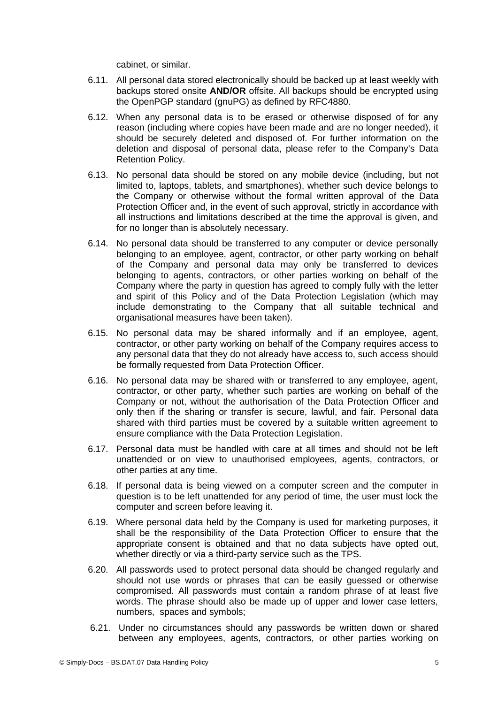cabinet, or similar.

- 6.11. All personal data stored electronically should be backed up at least weekly with backups stored onsite **AND/OR** offsite. All backups should be encrypted using the OpenPGP standard (gnuPG) as defined by RFC4880.
- 6.12. When any personal data is to be erased or otherwise disposed of for any reason (including where copies have been made and are no longer needed), it should be securely deleted and disposed of. For further information on the deletion and disposal of personal data, please refer to the Company's Data Retention Policy.
- 6.13. No personal data should be stored on any mobile device (including, but not limited to, laptops, tablets, and smartphones), whether such device belongs to the Company or otherwise without the formal written approval of the Data Protection Officer and, in the event of such approval, strictly in accordance with all instructions and limitations described at the time the approval is given, and for no longer than is absolutely necessary.
- 6.14. No personal data should be transferred to any computer or device personally belonging to an employee, agent, contractor, or other party working on behalf of the Company and personal data may only be transferred to devices belonging to agents, contractors, or other parties working on behalf of the Company where the party in question has agreed to comply fully with the letter and spirit of this Policy and of the Data Protection Legislation (which may include demonstrating to the Company that all suitable technical and organisational measures have been taken).
- 6.15. No personal data may be shared informally and if an employee, agent, contractor, or other party working on behalf of the Company requires access to any personal data that they do not already have access to, such access should be formally requested from Data Protection Officer.
- 6.16. No personal data may be shared with or transferred to any employee, agent, contractor, or other party, whether such parties are working on behalf of the Company or not, without the authorisation of the Data Protection Officer and only then if the sharing or transfer is secure, lawful, and fair. Personal data shared with third parties must be covered by a suitable written agreement to ensure compliance with the Data Protection Legislation.
- 6.17. Personal data must be handled with care at all times and should not be left unattended or on view to unauthorised employees, agents, contractors, or other parties at any time.
- 6.18. If personal data is being viewed on a computer screen and the computer in question is to be left unattended for any period of time, the user must lock the computer and screen before leaving it.
- 6.19. Where personal data held by the Company is used for marketing purposes, it shall be the responsibility of the Data Protection Officer to ensure that the appropriate consent is obtained and that no data subjects have opted out, whether directly or via a third-party service such as the TPS.
- 6.20. All passwords used to protect personal data should be changed regularly and should not use words or phrases that can be easily guessed or otherwise compromised. All passwords must contain a random phrase of at least five words. The phrase should also be made up of upper and lower case letters, numbers, spaces and symbols;
- 6.21. Under no circumstances should any passwords be written down or shared between any employees, agents, contractors, or other parties working on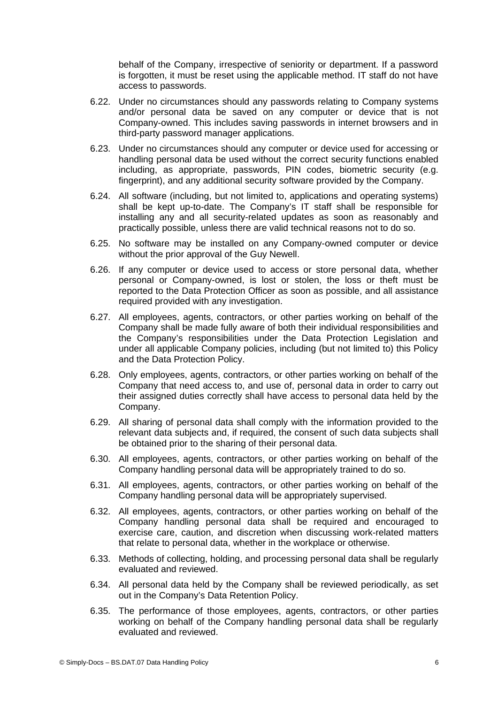behalf of the Company, irrespective of seniority or department. If a password is forgotten, it must be reset using the applicable method. IT staff do not have access to passwords.

- 6.22. Under no circumstances should any passwords relating to Company systems and/or personal data be saved on any computer or device that is not Company-owned. This includes saving passwords in internet browsers and in third-party password manager applications.
- 6.23. Under no circumstances should any computer or device used for accessing or handling personal data be used without the correct security functions enabled including, as appropriate, passwords, PIN codes, biometric security (e.g. fingerprint), and any additional security software provided by the Company.
- 6.24. All software (including, but not limited to, applications and operating systems) shall be kept up-to-date. The Company's IT staff shall be responsible for installing any and all security-related updates as soon as reasonably and practically possible, unless there are valid technical reasons not to do so.
- 6.25. No software may be installed on any Company-owned computer or device without the prior approval of the Guy Newell.
- 6.26. If any computer or device used to access or store personal data, whether personal or Company-owned, is lost or stolen, the loss or theft must be reported to the Data Protection Officer as soon as possible, and all assistance required provided with any investigation.
- 6.27. All employees, agents, contractors, or other parties working on behalf of the Company shall be made fully aware of both their individual responsibilities and the Company's responsibilities under the Data Protection Legislation and under all applicable Company policies, including (but not limited to) this Policy and the Data Protection Policy.
- 6.28. Only employees, agents, contractors, or other parties working on behalf of the Company that need access to, and use of, personal data in order to carry out their assigned duties correctly shall have access to personal data held by the Company.
- 6.29. All sharing of personal data shall comply with the information provided to the relevant data subjects and, if required, the consent of such data subjects shall be obtained prior to the sharing of their personal data.
- 6.30. All employees, agents, contractors, or other parties working on behalf of the Company handling personal data will be appropriately trained to do so.
- 6.31. All employees, agents, contractors, or other parties working on behalf of the Company handling personal data will be appropriately supervised.
- 6.32. All employees, agents, contractors, or other parties working on behalf of the Company handling personal data shall be required and encouraged to exercise care, caution, and discretion when discussing work-related matters that relate to personal data, whether in the workplace or otherwise.
- 6.33. Methods of collecting, holding, and processing personal data shall be regularly evaluated and reviewed.
- 6.34. All personal data held by the Company shall be reviewed periodically, as set out in the Company's Data Retention Policy.
- 6.35. The performance of those employees, agents, contractors, or other parties working on behalf of the Company handling personal data shall be regularly evaluated and reviewed.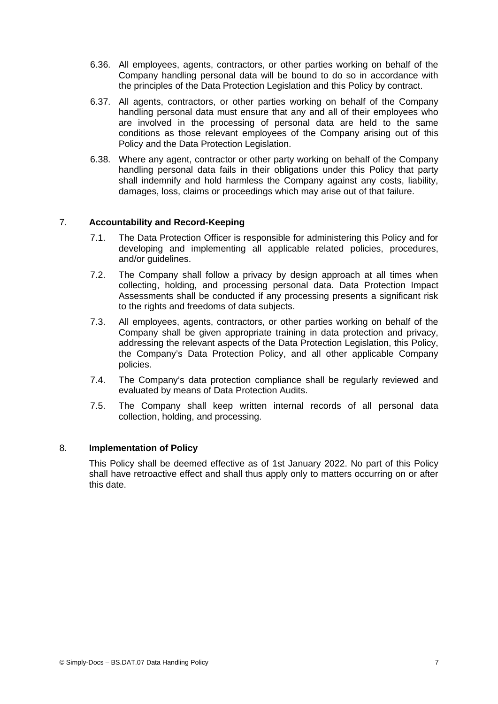- 6.36. All employees, agents, contractors, or other parties working on behalf of the Company handling personal data will be bound to do so in accordance with the principles of the Data Protection Legislation and this Policy by contract.
- 6.37. All agents, contractors, or other parties working on behalf of the Company handling personal data must ensure that any and all of their employees who are involved in the processing of personal data are held to the same conditions as those relevant employees of the Company arising out of this Policy and the Data Protection Legislation.
- 6.38. Where any agent, contractor or other party working on behalf of the Company handling personal data fails in their obligations under this Policy that party shall indemnify and hold harmless the Company against any costs, liability, damages, loss, claims or proceedings which may arise out of that failure.

## 7. **Accountability and Record-Keeping**

- 7.1. The Data Protection Officer is responsible for administering this Policy and for developing and implementing all applicable related policies, procedures, and/or guidelines.
- 7.2. The Company shall follow a privacy by design approach at all times when collecting, holding, and processing personal data. Data Protection Impact Assessments shall be conducted if any processing presents a significant risk to the rights and freedoms of data subjects.
- 7.3. All employees, agents, contractors, or other parties working on behalf of the Company shall be given appropriate training in data protection and privacy, addressing the relevant aspects of the Data Protection Legislation, this Policy, the Company's Data Protection Policy, and all other applicable Company policies.
- 7.4. The Company's data protection compliance shall be regularly reviewed and evaluated by means of Data Protection Audits.
- 7.5. The Company shall keep written internal records of all personal data collection, holding, and processing.

#### 8. **Implementation of Policy**

This Policy shall be deemed effective as of 1st January 2022. No part of this Policy shall have retroactive effect and shall thus apply only to matters occurring on or after this date.